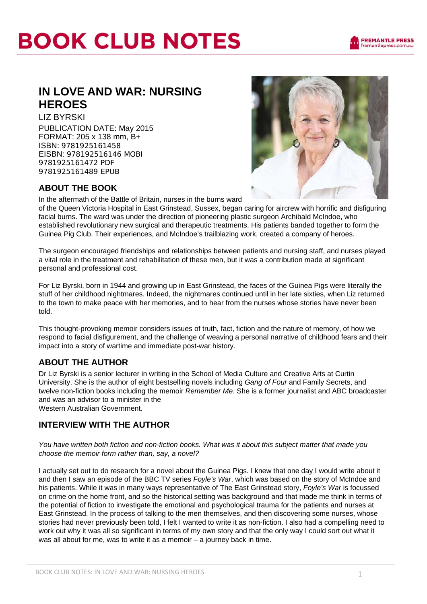## **BOOK CLUB NOTES**

## **IN LOVE AND WAR: NURSING HEROES**

LIZ BYRSKI PUBLICATION DATE: May 2015 FORMAT: 205 x 138 mm, B+ ISBN: 9781925161458 EISBN: 978192516146 MOBI 9781925161472 PDF 9781925161489 EPUB



### **ABOUT THE BOOK**

In the aftermath of the Battle of Britain, nurses in the burns ward

of the Queen Victoria Hospital in East Grinstead, Sussex, began caring for aircrew with horrific and disfiguring facial burns. The ward was under the direction of pioneering plastic surgeon Archibald McIndoe, who established revolutionary new surgical and therapeutic treatments. His patients banded together to form the Guinea Pig Club. Their experiences, and McIndoe's trailblazing work, created a company of heroes.

The surgeon encouraged friendships and relationships between patients and nursing staff, and nurses played a vital role in the treatment and rehabilitation of these men, but it was a contribution made at significant personal and professional cost.

For Liz Byrski, born in 1944 and growing up in East Grinstead, the faces of the Guinea Pigs were literally the stuff of her childhood nightmares. Indeed, the nightmares continued until in her late sixties, when Liz returned to the town to make peace with her memories, and to hear from the nurses whose stories have never been told.

This thought-provoking memoir considers issues of truth, fact, fiction and the nature of memory, of how we respond to facial disfigurement, and the challenge of weaving a personal narrative of childhood fears and their impact into a story of wartime and immediate post-war history.

### **ABOUT THE AUTHOR**

Dr Liz Byrski is a senior lecturer in writing in the School of Media Culture and Creative Arts at Curtin University. She is the author of eight bestselling novels including *Gang of Four* and Family Secrets, and twelve non-fiction books including the memoir *Remember Me*. She is a former journalist and ABC broadcaster and was an advisor to a minister in the

Western Australian Government.

### **INTERVIEW WITH THE AUTHOR**

*You have written both fiction and non-fiction books. What was it about this subject matter that made you choose the memoir form rather than, say, a novel?* 

I actually set out to do research for a novel about the Guinea Pigs. I knew that one day I would write about it and then I saw an episode of the BBC TV series *Foyle's War*, which was based on the story of McIndoe and his patients. While it was in many ways representative of The East Grinstead story, *Foyle's War* is focussed on crime on the home front, and so the historical setting was background and that made me think in terms of the potential of fiction to investigate the emotional and psychological trauma for the patients and nurses at East Grinstead. In the process of talking to the men themselves, and then discovering some nurses, whose stories had never previously been told, I felt I wanted to write it as non-fiction. I also had a compelling need to work out why it was all so significant in terms of my own story and that the only way I could sort out what it was all about for me, was to write it as a memoir – a journey back in time.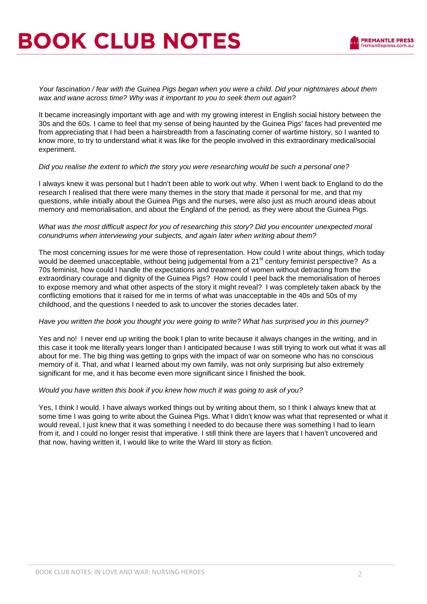# **BOOK CLUB NOTES**

*Your fascination / fear with the Guinea Pigs began when you were a child. Did your nightmares about them wax and wane across time? Why was it important to you to seek them out again?* 

It became increasingly important with age and with my growing interest in English social history between the 30s and the 60s. I came to feel that my sense of being haunted by the Guinea Pigs' faces had prevented me from appreciating that I had been a hairsbreadth from a fascinating corner of wartime history, so I wanted to know more, to try to understand what it was like for the people involved in this extraordinary medical/social experiment.

#### *Did you realise the extent to which the story you were researching would be such a personal one?*

I always knew it was personal but I hadn't been able to work out why. When I went back to England to do the research I realised that there were many themes in the story that made it personal for me, and that my questions, while initially about the Guinea Pigs and the nurses, were also just as much around ideas about memory and memorialisation, and about the England of the period, as they were about the Guinea Pigs.

#### *What was the most difficult aspect for you of researching this story? Did you encounter unexpected moral conundrums when interviewing your subjects, and again later when writing about them?*

The most concerning issues for me were those of representation. How could I write about things, which today would be deemed unacceptable, without being judgemental from a 21<sup>st</sup> century feminist perspective? As a 70s feminist, how could I handle the expectations and treatment of women without detracting from the extraordinary courage and dignity of the Guinea Pigs? How could I peel back the memorialisation of heroes to expose memory and what other aspects of the story it might reveal? I was completely taken aback by the conflicting emotions that it raised for me in terms of what was unacceptable in the 40s and 50s of my childhood, and the questions I needed to ask to uncover the stories decades later.

#### *Have you written the book you thought you were going to write? What has surprised you in this journey?*

Yes and no! I never end up writing the book I plan to write because it always changes in the writing, and in this case it took me literally years longer than I anticipated because I was still trying to work out what it was all about for me. The big thing was getting to grips with the impact of war on someone who has no conscious memory of it. That, and what I learned about my own family, was not only surprising but also extremely significant for me, and it has become even more significant since I finished the book.

#### *Would you have written this book if you knew how much it was going to ask of you?*

Yes, I think I would. I have always worked things out by writing about them, so I think I always knew that at some time I was going to write about the Guinea Pigs. What I didn't know was what that represented or what it would reveal, I just knew that it was something I needed to do because there was something I had to learn from it, and I could no longer resist that imperative. I still think there are layers that I haven't uncovered and that now, having written it, I would like to write the Ward III story as fiction.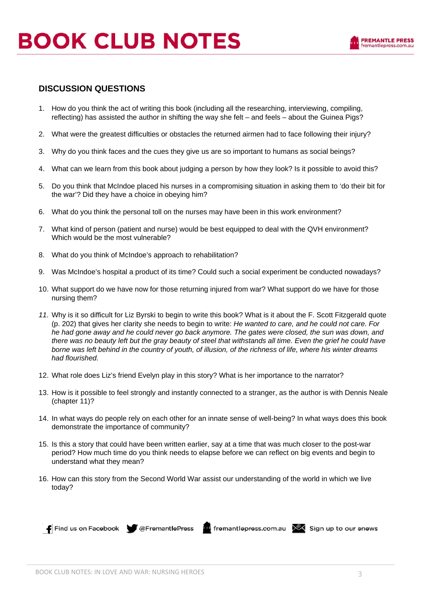#### **DISCUSSION QUESTIONS**

- 1. How do you think the act of writing this book (including all the researching, interviewing, compiling, reflecting) has assisted the author in shifting the way she felt – and feels – about the Guinea Pigs?
- 2. What were the greatest difficulties or obstacles the returned airmen had to face following their injury?
- 3. Why do you think faces and the cues they give us are so important to humans as social beings?
- 4. What can we learn from this book about judging a person by how they look? Is it possible to avoid this?
- 5. Do you think that McIndoe placed his nurses in a compromising situation in asking them to 'do their bit for the war'? Did they have a choice in obeying him?
- 6. What do you think the personal toll on the nurses may have been in this work environment?
- 7. What kind of person (patient and nurse) would be best equipped to deal with the QVH environment? Which would be the most vulnerable?
- 8. What do you think of McIndoe's approach to rehabilitation?
- 9. Was McIndoe's hospital a product of its time? Could such a social experiment be conducted nowadays?
- 10. What support do we have now for those returning injured from war? What support do we have for those nursing them?
- *11.* Why is it so difficult for Liz Byrski to begin to write this book? What is it about the F. Scott Fitzgerald quote (p. 202) that gives her clarity she needs to begin to write: *He wanted to care, and he could not care. For he had gone away and he could never go back anymore. The gates were closed, the sun was down, and there was no beauty left but the gray beauty of steel that withstands all time. Even the grief he could have borne was left behind in the country of youth, of illusion, of the richness of life, where his winter dreams had flourished.*
- 12. What role does Liz's friend Evelyn play in this story? What is her importance to the narrator?
- 13. How is it possible to feel strongly and instantly connected to a stranger, as the author is with Dennis Neale (chapter 11)?
- 14. In what ways do people rely on each other for an innate sense of well-being? In what ways does this book demonstrate the importance of community?
- 15. Is this a story that could have been written earlier, say at a time that was much closer to the post-war period? How much time do you think needs to elapse before we can reflect on big events and begin to understand what they mean?
- 16. How can this story from the Second World War assist our understanding of the world in which we live today?

**F** Find us on Facebook  $\bullet$  @FremantlePress **in** fremantlepress.com.au  $\mathbb{R}$  Sign up to our enews